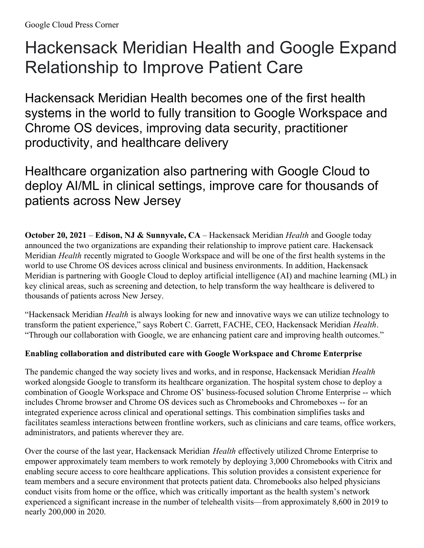# Hackensack Meridian Health and Google Expand Relationship to Improve Patient Care

Hackensack Meridian Health becomes one of the first health systems in the world to fully transition to Google Workspace and Chrome OS devices, improving data security, practitioner productivity, and healthcare delivery

Healthcare organization also partnering with Google Cloud to deploy AI/ML in clinical settings, improve care for thousands of patients across New Jersey

**October 20, 2021** – **Edison, NJ & Sunnyvale, CA** – Hackensack Meridian *Health* and Google today announced the two organizations are expanding their relationship to improve patient care. Hackensack Meridian *Health* recently migrated to Google Workspace and will be one of the first health systems in the world to use Chrome OS devices across clinical and business environments. In addition, Hackensack Meridian is partnering with Google Cloud to deploy artificial intelligence (AI) and machine learning (ML) in key clinical areas, such as screening and detection, to help transform the way healthcare is delivered to thousands of patients across New Jersey.

"Hackensack Meridian *Health* is always looking for new and innovative ways we can utilize technology to transform the patient experience," says Robert C. Garrett, FACHE, CEO, Hackensack Meridian *Health*. "Through our collaboration with Google, we are enhancing patient care and improving health outcomes."

## **Enabling collaboration and distributed care with Google Workspace and Chrome Enterprise**

The pandemic changed the way society lives and works, and in response, Hackensack Meridian *Health* worked alongside Google to transform its healthcare organization. The hospital system chose to deploy a combination of Google Workspace and Chrome OS' business-focused solution Chrome Enterprise -- which includes Chrome browser and Chrome OS devices such as Chromebooks and Chromeboxes -- for an integrated experience across clinical and operational settings. This combination simplifies tasks and facilitates seamless interactions between frontline workers, such as clinicians and care teams, office workers, administrators, and patients wherever they are.

Over the course of the last year, Hackensack Meridian *Health* effectively utilized Chrome Enterprise to empower approximately team members to work remotely by deploying 3,000 Chromebooks with Citrix and enabling secure access to core healthcare applications. This solution provides a consistent experience for team members and a secure environment that protects patient data. Chromebooks also helped physicians conduct visits from home or the office, which was critically important as the health system's network experienced a significant increase in the number of telehealth visits—from approximately 8,600 in 2019 to nearly 200,000 in 2020.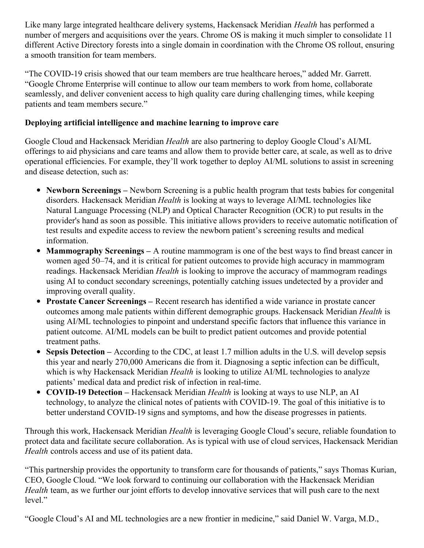Like many large integrated healthcare delivery systems, Hackensack Meridian *Health* has performed a number of mergers and acquisitions over the years. Chrome OS is making it much simpler to consolidate 11 different Active Directory forests into a single domain in coordination with the Chrome OS rollout, ensuring a smooth transition for team members.

"The COVID-19 crisis showed that our team members are true healthcare heroes," added Mr. Garrett. "Google Chrome Enterprise will continue to allow our team members to work from home, collaborate seamlessly, and deliver convenient access to high quality care during challenging times, while keeping patients and team members secure."

## **Deploying artificial intelligence and machine learning to improve care**

Google Cloud and Hackensack Meridian *Health* are also partnering to deploy Google Cloud's AI/ML offerings to aid physicians and care teams and allow them to provide better care, at scale, as well as to drive operational efficiencies. For example, they'll work together to deploy AI/ML solutions to assist in screening and disease detection, such as:

- **Newborn Screenings –** Newborn Screening is a public health program that tests babies for congenital disorders. Hackensack Meridian *Health* is looking at ways to leverage AI/ML technologies like Natural Language Processing (NLP) and Optical Character Recognition (OCR) to put results in the provider's hand as soon as possible. This initiative allows providers to receive automatic notification of test results and expedite access to review the newborn patient's screening results and medical information.
- **Mammography Screenings –** A routine mammogram is one of the best ways to find breast cancer in women aged 50–74, and it is critical for patient outcomes to provide high accuracy in mammogram readings. Hackensack Meridian *Health* is looking to improve the accuracy of mammogram readings using AI to conduct secondary screenings, potentially catching issues undetected by a provider and improving overall quality.
- **Prostate Cancer Screenings –** Recent research has identified a wide variance in prostate cancer outcomes among male patients within different demographic groups. Hackensack Meridian *Health* is using AI/ML technologies to pinpoint and understand specific factors that influence this variance in patient outcome. AI/ML models can be built to predict patient outcomes and provide potential treatment paths.
- **Sepsis Detection –** According to the CDC, at least 1.7 million adults in the U.S. will develop sepsis this year and nearly 270,000 Americans die from it. Diagnosing a septic infection can be difficult, which is why Hackensack Meridian *Health* is looking to utilize AI/ML technologies to analyze patients' medical data and predict risk of infection in real-time.
- **COVID-19 Detection –** Hackensack Meridian *Health* is looking at ways to use NLP, an AI technology, to analyze the clinical notes of patients with COVID-19. The goal of this initiative is to better understand COVID-19 signs and symptoms, and how the disease progresses in patients.

Through this work, Hackensack Meridian *Health* is leveraging Google Cloud's secure, reliable foundation to protect data and facilitate secure collaboration. As is typical with use of cloud services, Hackensack Meridian *Health* controls access and use of its patient data.

"This partnership provides the opportunity to transform care for thousands of patients," says Thomas Kurian, CEO, Google Cloud. "We look forward to continuing our collaboration with the Hackensack Meridian *Health* team, as we further our joint efforts to develop innovative services that will push care to the next level."

"Google Cloud's AI and ML technologies are a new frontier in medicine," said Daniel W. Varga, M.D.,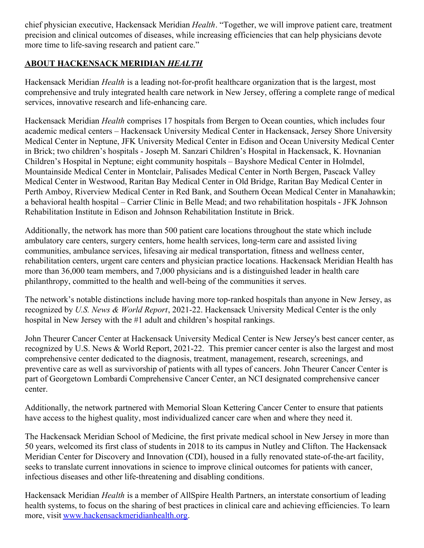chief physician executive, Hackensack Meridian *Health*. "Together, we will improve patient care, treatment precision and clinical outcomes of diseases, while increasing efficiencies that can help physicians devote more time to life-saving research and patient care."

## **ABOUT HACKENSACK MERIDIAN** *HEALTH*

Hackensack Meridian *Health* is a leading not-for-profit healthcare organization that is the largest, most comprehensive and truly integrated health care network in New Jersey, offering a complete range of medical services, innovative research and life-enhancing care.

Hackensack Meridian *Health* comprises 17 hospitals from Bergen to Ocean counties, which includes four academic medical centers – Hackensack University Medical Center in Hackensack, Jersey Shore University Medical Center in Neptune, JFK University Medical Center in Edison and Ocean University Medical Center in Brick; two children's hospitals - Joseph M. Sanzari Children's Hospital in Hackensack, K. Hovnanian Children's Hospital in Neptune; eight community hospitals – Bayshore Medical Center in Holmdel, Mountainside Medical Center in Montclair, Palisades Medical Center in North Bergen, Pascack Valley Medical Center in Westwood, Raritan Bay Medical Center in Old Bridge, Raritan Bay Medical Center in Perth Amboy, Riverview Medical Center in Red Bank, and Southern Ocean Medical Center in Manahawkin; a behavioral health hospital – Carrier Clinic in Belle Mead; and two rehabilitation hospitals - JFK Johnson Rehabilitation Institute in Edison and Johnson Rehabilitation Institute in Brick.

Additionally, the network has more than 500 patient care locations throughout the state which include ambulatory care centers, surgery centers, home health services, long-term care and assisted living communities, ambulance services, lifesaving air medical transportation, fitness and wellness center, rehabilitation centers, urgent care centers and physician practice locations. Hackensack Meridian Health has more than 36,000 team members, and 7,000 physicians and is a distinguished leader in health care philanthropy, committed to the health and well-being of the communities it serves.

The network's notable distinctions include having more top-ranked hospitals than anyone in New Jersey, as recognized by *U.S. News & World Report*, 2021-22. Hackensack University Medical Center is the only hospital in New Jersey with the #1 adult and children's hospital rankings.

John Theurer Cancer Center at Hackensack University Medical Center is New Jersey's best cancer center, as recognized by U.S. News & World Report, 2021-22. This premier cancer center is also the largest and most comprehensive center dedicated to the diagnosis, treatment, management, research, screenings, and preventive care as well as survivorship of patients with all types of cancers. John Theurer Cancer Center is part of Georgetown Lombardi Comprehensive Cancer Center, an NCI designated comprehensive cancer center.

Additionally, the network partnered with Memorial Sloan Kettering Cancer Center to ensure that patients have access to the highest quality, most individualized cancer care when and where they need it.

The Hackensack Meridian School of Medicine, the first private medical school in New Jersey in more than 50 years, welcomed its first class of students in 2018 to its campus in Nutley and Clifton. The Hackensack Meridian Center for Discovery and Innovation (CDI), housed in a fully renovated state-of-the-art facility, seeks to translate current innovations in science to improve clinical outcomes for patients with cancer, infectious diseases and other life-threatening and disabling conditions.

Hackensack Meridian *Health* is a member of AllSpire Health Partners, an interstate consortium of leading health systems, to focus on the sharing of best practices in clinical care and achieving efficiencies. To learn more, visit [www.hackensackmeridianhealth.org](http://www.hackensackmeridianhealth.org/).